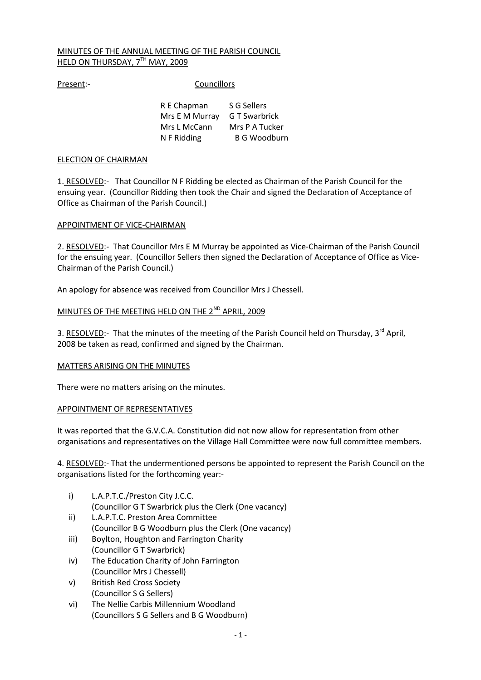# MINUTES OF THE ANNUAL MEETING OF THE PARISH COUNCIL HELD ON THURSDAY, 7TH MAY, 2009

Present:- Councillors

| R E Chapman                  | S G Sellers    |
|------------------------------|----------------|
| Mrs E M Murray G T Swarbrick |                |
| Mrs L McCann                 | Mrs P A Tucker |
| N F Ridding                  | B G Woodburn   |

## ELECTION OF CHAIRMAN

1. RESOLVED:- That Councillor N F Ridding be elected as Chairman of the Parish Council for the ensuing year. (Councillor Ridding then took the Chair and signed the Declaration of Acceptance of Office as Chairman of the Parish Council.)

# APPOINTMENT OF VICE-CHAIRMAN

2. RESOLVED:- That Councillor Mrs E M Murray be appointed as Vice-Chairman of the Parish Council for the ensuing year. (Councillor Sellers then signed the Declaration of Acceptance of Office as Vice-Chairman of the Parish Council.)

An apology for absence was received from Councillor Mrs J Chessell.

# MINUTES OF THE MEETING HELD ON THE 2<sup>ND</sup> APRIL, 2009

3. RESOLVED:- That the minutes of the meeting of the Parish Council held on Thursday, 3<sup>rd</sup> April, 2008 be taken as read, confirmed and signed by the Chairman.

## MATTERS ARISING ON THE MINUTES

There were no matters arising on the minutes.

## APPOINTMENT OF REPRESENTATIVES

It was reported that the G.V.C.A. Constitution did not now allow for representation from other organisations and representatives on the Village Hall Committee were now full committee members.

4. RESOLVED:- That the undermentioned persons be appointed to represent the Parish Council on the organisations listed for the forthcoming year:-

- i) L.A.P.T.C./Preston City J.C.C.
	- (Councillor G T Swarbrick plus the Clerk (One vacancy)
- ii) L.A.P.T.C. Preston Area Committee (Councillor B G Woodburn plus the Clerk (One vacancy)
- iii) Boylton, Houghton and Farrington Charity (Councillor G T Swarbrick)
- iv) The Education Charity of John Farrington (Councillor Mrs J Chessell)
- v) British Red Cross Society (Councillor S G Sellers)
- vi) The Nellie Carbis Millennium Woodland (Councillors S G Sellers and B G Woodburn)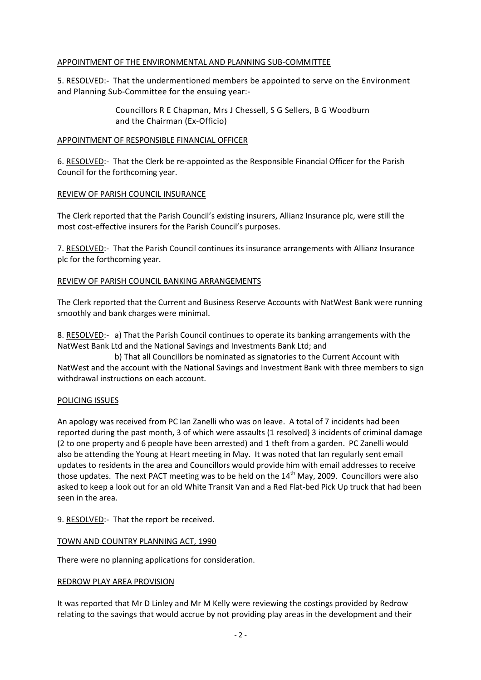## APPOINTMENT OF THE ENVIRONMENTAL AND PLANNING SUB-COMMITTEE

5. RESOLVED:- That the undermentioned members be appointed to serve on the Environment and Planning Sub-Committee for the ensuing year:-

> Councillors R E Chapman, Mrs J Chessell, S G Sellers, B G Woodburn and the Chairman (Ex-Officio)

## APPOINTMENT OF RESPONSIBLE FINANCIAL OFFICER

6. RESOLVED:- That the Clerk be re-appointed as the Responsible Financial Officer for the Parish Council for the forthcoming year.

# REVIEW OF PARISH COUNCIL INSURANCE

The Clerk reported that the Parish Council's existing insurers, Allianz Insurance plc, were still the most cost-effective insurers for the Parish Council's purposes.

7. RESOLVED:- That the Parish Council continues its insurance arrangements with Allianz Insurance plc for the forthcoming year.

# REVIEW OF PARISH COUNCIL BANKING ARRANGEMENTS

The Clerk reported that the Current and Business Reserve Accounts with NatWest Bank were running smoothly and bank charges were minimal.

8. RESOLVED:- a) That the Parish Council continues to operate its banking arrangements with the NatWest Bank Ltd and the National Savings and Investments Bank Ltd; and

 b) That all Councillors be nominated as signatories to the Current Account with NatWest and the account with the National Savings and Investment Bank with three members to sign withdrawal instructions on each account.

## POLICING ISSUES

An apology was received from PC Ian Zanelli who was on leave. A total of 7 incidents had been reported during the past month, 3 of which were assaults (1 resolved) 3 incidents of criminal damage (2 to one property and 6 people have been arrested) and 1 theft from a garden. PC Zanelli would also be attending the Young at Heart meeting in May. It was noted that Ian regularly sent email updates to residents in the area and Councillors would provide him with email addresses to receive those updates. The next PACT meeting was to be held on the 14<sup>th</sup> May, 2009. Councillors were also asked to keep a look out for an old White Transit Van and a Red Flat-bed Pick Up truck that had been seen in the area.

9. RESOLVED:- That the report be received.

## TOWN AND COUNTRY PLANNING ACT, 1990

There were no planning applications for consideration.

## REDROW PLAY AREA PROVISION

It was reported that Mr D Linley and Mr M Kelly were reviewing the costings provided by Redrow relating to the savings that would accrue by not providing play areas in the development and their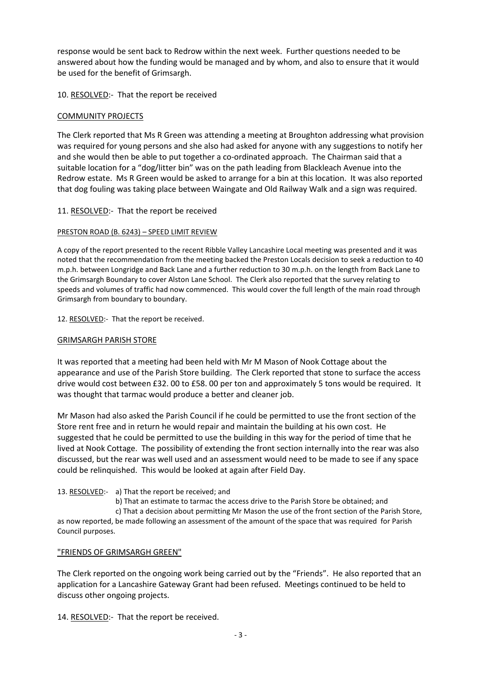response would be sent back to Redrow within the next week. Further questions needed to be answered about how the funding would be managed and by whom, and also to ensure that it would be used for the benefit of Grimsargh.

# 10. RESOLVED:- That the report be received

## COMMUNITY PROJECTS

The Clerk reported that Ms R Green was attending a meeting at Broughton addressing what provision was required for young persons and she also had asked for anyone with any suggestions to notify her and she would then be able to put together a co-ordinated approach. The Chairman said that a suitable location for a "dog/litter bin" was on the path leading from Blackleach Avenue into the Redrow estate. Ms R Green would be asked to arrange for a bin at this location. It was also reported that dog fouling was taking place between Waingate and Old Railway Walk and a sign was required.

# 11. RESOLVED:- That the report be received

## PRESTON ROAD (B. 6243) – SPEED LIMIT REVIEW

A copy of the report presented to the recent Ribble Valley Lancashire Local meeting was presented and it was noted that the recommendation from the meeting backed the Preston Locals decision to seek a reduction to 40 m.p.h. between Longridge and Back Lane and a further reduction to 30 m.p.h. on the length from Back Lane to the Grimsargh Boundary to cover Alston Lane School. The Clerk also reported that the survey relating to speeds and volumes of traffic had now commenced. This would cover the full length of the main road through Grimsargh from boundary to boundary.

12. RESOLVED:- That the report be received.

## GRIMSARGH PARISH STORE

It was reported that a meeting had been held with Mr M Mason of Nook Cottage about the appearance and use of the Parish Store building. The Clerk reported that stone to surface the access drive would cost between £32. 00 to £58. 00 per ton and approximately 5 tons would be required. It was thought that tarmac would produce a better and cleaner job.

Mr Mason had also asked the Parish Council if he could be permitted to use the front section of the Store rent free and in return he would repair and maintain the building at his own cost. He suggested that he could be permitted to use the building in this way for the period of time that he lived at Nook Cottage. The possibility of extending the front section internally into the rear was also discussed, but the rear was well used and an assessment would need to be made to see if any space could be relinquished. This would be looked at again after Field Day.

## 13. RESOLVED:- a) That the report be received; and

b) That an estimate to tarmac the access drive to the Parish Store be obtained; and

 c) That a decision about permitting Mr Mason the use of the front section of the Parish Store, as now reported, be made following an assessment of the amount of the space that was required for Parish Council purposes.

## "FRIENDS OF GRIMSARGH GREEN"

The Clerk reported on the ongoing work being carried out by the "Friends". He also reported that an application for a Lancashire Gateway Grant had been refused. Meetings continued to be held to discuss other ongoing projects.

14. RESOLVED:- That the report be received.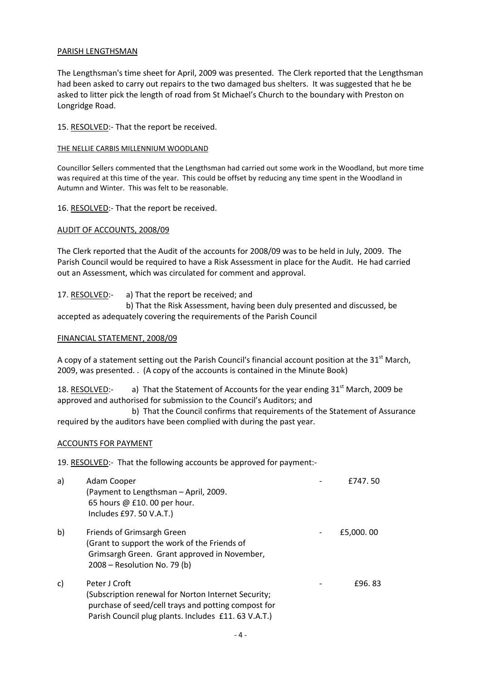#### PARISH LENGTHSMAN

The Lengthsman's time sheet for April, 2009 was presented. The Clerk reported that the Lengthsman had been asked to carry out repairs to the two damaged bus shelters. It was suggested that he be asked to litter pick the length of road from St Michael's Church to the boundary with Preston on Longridge Road.

#### 15. RESOLVED:- That the report be received.

#### THE NELLIE CARBIS MILLENNIUM WOODLAND

Councillor Sellers commented that the Lengthsman had carried out some work in the Woodland, but more time was required at this time of the year. This could be offset by reducing any time spent in the Woodland in Autumn and Winter. This was felt to be reasonable.

16. RESOLVED:- That the report be received.

## AUDIT OF ACCOUNTS, 2008/09

The Clerk reported that the Audit of the accounts for 2008/09 was to be held in July, 2009. The Parish Council would be required to have a Risk Assessment in place for the Audit. He had carried out an Assessment, which was circulated for comment and approval.

17. RESOLVED:- a) That the report be received; and

 b) That the Risk Assessment, having been duly presented and discussed, be accepted as adequately covering the requirements of the Parish Council

# FINANCIAL STATEMENT, 2008/09

A copy of a statement setting out the Parish Council's financial account position at the  $31<sup>st</sup>$  March, 2009, was presented. . (A copy of the accounts is contained in the Minute Book)

18. RESOLVED:- a) That the Statement of Accounts for the year ending  $31<sup>st</sup>$  March, 2009 be approved and authorised for submission to the Council's Auditors; and

 b) That the Council confirms that requirements of the Statement of Assurance required by the auditors have been complied with during the past year.

## ACCOUNTS FOR PAYMENT

19. RESOLVED:- That the following accounts be approved for payment:-

| a) | Adam Cooper<br>(Payment to Lengthsman - April, 2009.<br>65 hours @ £10.00 per hour.<br>Includes £97. 50 V.A.T.)                                                                    | £747.50   |
|----|------------------------------------------------------------------------------------------------------------------------------------------------------------------------------------|-----------|
| b) | Friends of Grimsargh Green<br>(Grant to support the work of the Friends of<br>Grimsargh Green. Grant approved in November,<br>2008 – Resolution No. 79 (b)                         | £5,000.00 |
| C) | Peter J Croft<br>(Subscription renewal for Norton Internet Security;<br>purchase of seed/cell trays and potting compost for<br>Parish Council plug plants. Includes £11.63 V.A.T.) | £96.83    |